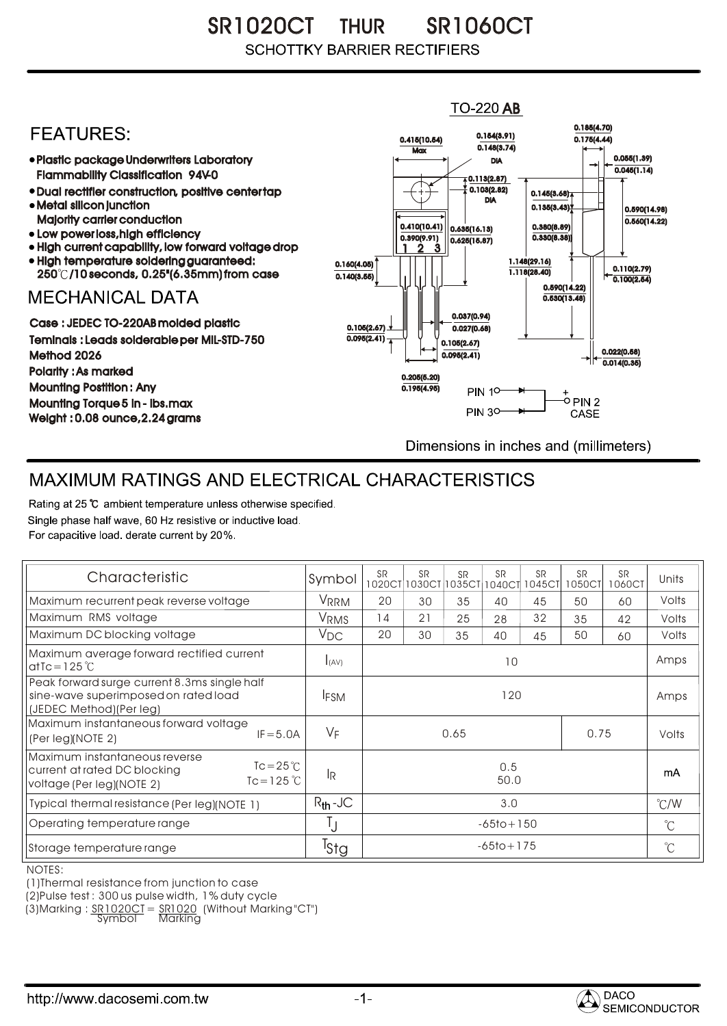SR1020CT THUR SR1060CT **SCHOTTKY BARRIER RECTIFIERS** 

## $TO-220$  AB 0.185(4.70) **FEATURES:** 0.154(3.91) 0.415(10.54) 0.175(4.44)  $0.148(3.74)$ **Max** Plastic package Underwriters Laboratory 0.055(1.39) DIA  $0.045(1.14)$ Flammability Classification 94V-0  $\overline{4}$  0.113(2.87) 0.103(2.82) Dual rectifier construction, positive center tap 0.145(3.68) DIA Metal silicon junction  $0.135(3.43)$ 0.590(14.98) Majority carrier conduction  $0.560(14.22)$ 0.410(10.41) 0.380(8.89) 0.635(16.13) • Low power loss, high efficiency 0.330(8.38)) 0.390(9.91)  $0.625(15.87)$ High current capability, low forward voltage drop 1 3 2High temperature soldering guaranteed: 1.148(29.16) 0.160(4.05) 0.110(2.79) 250 /10 seconds, 0.25"(6.35mm) from case 1.118(28.40) 0.140(3.55)  $\overline{0.100(2.54)}$ 0.590(14.22) **MECHANICAL DATA**  $0.530(13.48)$ 0.037(0.94) Case : JEDEC TO-220AB molded plastic 0.105(2.67)  $0.027(0.68)$ Teminals : Leads solderable per MIL-STD-750  $0.095(2.41)$ 0.105(2.67) 0.022(0.58) Method 2026  $0.095(2.41)$  $0.014(0.35)$ Polarity : As marked 0.205(5.20) Mounting Postition : Any 0.195(4.95) **PIN 10-**+<br>-○ PIN 2 Mounting Torque 5 in - lbs.max **PIN 30-**CASE Weight : 0.08 ounce,2.24 grams Dimensions in inches and (millimeters)

## MAXIMUM RATINGS AND ELECTRICAL CHARACTERISTICS

Rating at 25 °C ambient temperature unless otherwise specified. Single phase half wave, 60 Hz resistive or inductive load. For capacitive load, derate current by 20%.

| Characteristic                                                                                                                    | Symbol           | <b>SR</b>      | <b>SR</b><br>1020CT 1030CT | <b>SR</b><br>1035CT | <b>SR</b><br>1040CT | <b>SR</b><br>1045CT | <b>SR</b><br>1050CT | <b>SR</b><br>1060CT | Units         |
|-----------------------------------------------------------------------------------------------------------------------------------|------------------|----------------|----------------------------|---------------------|---------------------|---------------------|---------------------|---------------------|---------------|
| Maximum recurrent peak reverse voltage                                                                                            | <b>VRRM</b>      | 20             | 30                         | 35                  | 40                  | 45                  | 50                  | 60                  | Volts         |
| Maximum RMS voltage                                                                                                               | <b>VRMS</b>      | 14             | 21                         | 25                  | 28                  | 32                  | 35                  | 42                  | Volts         |
| Maximum DC blocking voltage                                                                                                       | $V_{DC}$         | 20             | 30                         | 35                  | 40                  | 45                  | 50                  | 60                  | Volts         |
| Maximum average forward rectified current<br>at Tc = $125^\circ C$                                                                | I(AV)            | 10             |                            |                     |                     |                     |                     |                     | Amps          |
| Peak forward surge current 8.3ms single half<br>sine-wave superimposed on rated load<br>(JEDEC Method) (Per leg)                  | <b>IFSM</b>      | 120            |                            |                     |                     |                     |                     |                     | Amps          |
| Maximum instantaneous forward voltage<br>$IF = 5.0A$<br>(Per leg)(NOTE 2)                                                         | VF               | 0.65<br>0.75   |                            |                     |                     |                     |                     | Volts               |               |
| Maximum instantaneous reverse<br>$Tc = 25^{\circ}C$<br>current at rated DC blocking<br>$Tc = 125$ °C<br>voltage (Per leg)(NOTE 2) | <b>IR</b>        | 0.5<br>50.0    |                            |                     |                     |                     |                     |                     | mA            |
| Typical thermal resistance (Per leg)(NOTE 1)                                                                                      | $R_{th}$ -JC     | 3.0            |                            |                     |                     |                     |                     |                     | $\degree$ C/W |
| Operating temperature range                                                                                                       |                  | $-65$ to + 150 |                            |                     |                     |                     |                     |                     | $^{\circ}$ C  |
| Storage temperature range                                                                                                         | <sup>I</sup> Stg | $-65$ to + 175 |                            |                     |                     |                     |                     |                     | $^{\circ}C$   |

NOTES:

(1)Thermal resistance from junction to case

(2)Pulse test : 300 us pulse width, 1% duty cycle

(3)Marking : <u>SR1020CT</u> = <u>SR1020</u> (Without Marking "CT") R

Symbol Marking